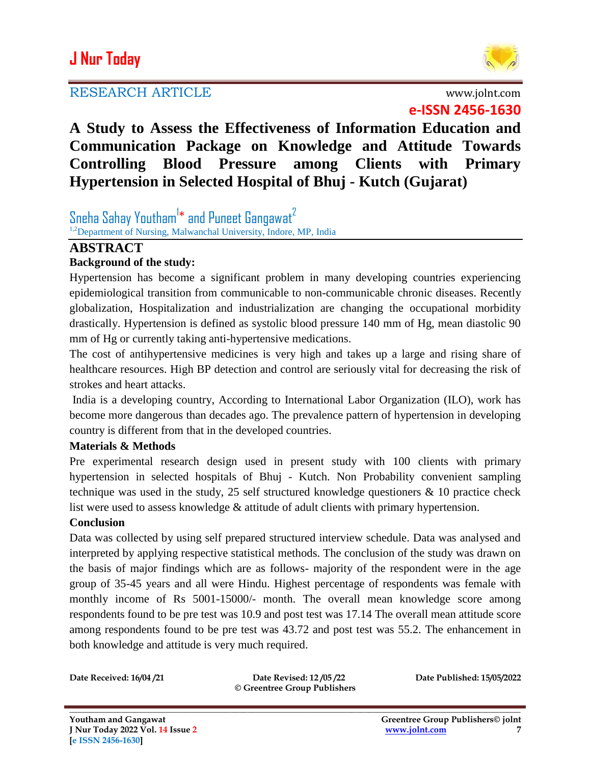# **J Nur Today**

## RESEARCH ARTICLE www.jolnt.com



**e-ISSN 2456-1630**

**A Study to Assess the Effectiveness of Information Education and Communication Package on Knowledge and Attitude Towards Controlling Blood Pressure among Clients with Primary Hypertension in Selected Hospital of Bhuj - Kutch (Gujarat)** 

Sneha Sahay Youtham $^{\mathsf{I}*}$  and Puneet Gangawat $^{\mathsf{2}}$ <sup>1,2</sup>Department of Nursing, Malwanchal University, Indore, MP, India

# **ABSTRACT**

### **Background of the study:**

Hypertension has become a significant problem in many developing countries experiencing epidemiological transition from communicable to non-communicable chronic diseases. Recently globalization, Hospitalization and industrialization are changing the occupational morbidity drastically. Hypertension is defined as systolic blood pressure 140 mm of Hg, mean diastolic 90 mm of Hg or currently taking anti-hypertensive medications.

The cost of antihypertensive medicines is very high and takes up a large and rising share of healthcare resources. High BP detection and control are seriously vital for decreasing the risk of strokes and heart attacks.

India is a developing country, According to International Labor Organization (ILO), work has become more dangerous than decades ago. The prevalence pattern of hypertension in developing country is different from that in the developed countries.

### **Materials & Methods**

Pre experimental research design used in present study with 100 clients with primary hypertension in selected hospitals of Bhuj - Kutch. Non Probability convenient sampling technique was used in the study, 25 self structured knowledge questioners  $\&$  10 practice check list were used to assess knowledge & attitude of adult clients with primary hypertension.

### **Conclusion**

Data was collected by using self prepared structured interview schedule. Data was analysed and interpreted by applying respective statistical methods. The conclusion of the study was drawn on the basis of major findings which are as follows- majority of the respondent were in the age group of 35-45 years and all were Hindu. Highest percentage of respondents was female with monthly income of Rs 5001-15000/- month. The overall mean knowledge score among respondents found to be pre test was 10.9 and post test was 17.14 The overall mean attitude score among respondents found to be pre test was 43.72 and post test was 55.2. The enhancement in both knowledge and attitude is very much required.

**Date Received: 16/04 /21 Date Revised: 12 /05 /22 Date Published: 15/05/2022 © Greentree Group Publishers**

**\_\_\_\_\_\_\_\_\_\_\_\_\_\_\_\_\_\_\_\_\_\_\_\_\_\_\_\_\_\_\_\_\_\_\_\_\_\_\_\_\_\_\_\_\_\_\_\_\_\_\_\_\_\_\_\_\_\_\_\_\_\_\_\_\_\_\_\_\_\_\_\_\_\_\_\_\_\_\_\_\_\_\_\_\_\_\_\_\_\_\_\_\_\_\_\_\_\_\_\_\_\_\_\_**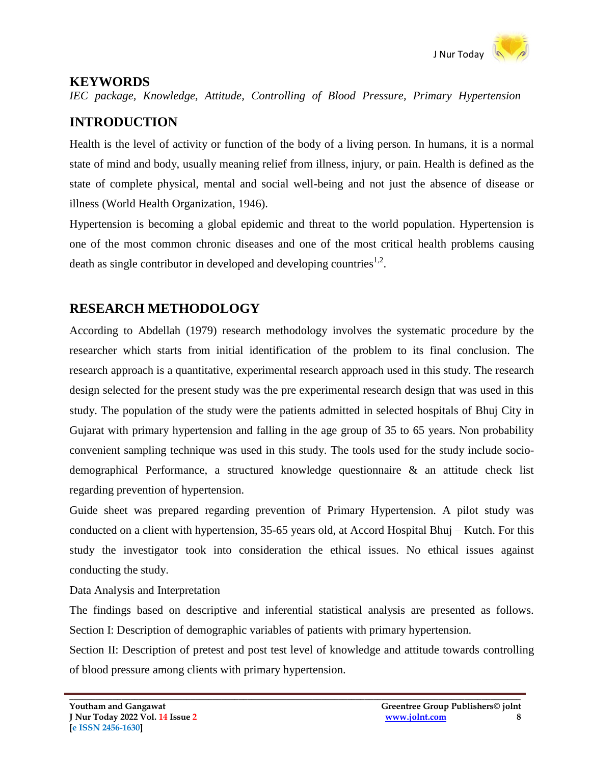

## **KEYWORDS**

*IEC package, Knowledge, Attitude, Controlling of Blood Pressure, Primary Hypertension*

# **INTRODUCTION**

Health is the level of activity or function of the body of a living person. In humans, it is a normal state of mind and body, usually meaning relief from illness, injury, or pain. Health is defined as the state of complete physical, mental and social well-being and not just the absence of disease or illness (World Health Organization, 1946).

Hypertension is becoming a global epidemic and threat to the world population. Hypertension is one of the most common chronic diseases and one of the most critical health problems causing death as single contributor in developed and developing countries<sup>1,2</sup>.

# **RESEARCH METHODOLOGY**

According to Abdellah (1979) research methodology involves the systematic procedure by the researcher which starts from initial identification of the problem to its final conclusion. The research approach is a quantitative, experimental research approach used in this study. The research design selected for the present study was the pre experimental research design that was used in this study. The population of the study were the patients admitted in selected hospitals of Bhuj City in Gujarat with primary hypertension and falling in the age group of 35 to 65 years. Non probability convenient sampling technique was used in this study. The tools used for the study include sociodemographical Performance, a structured knowledge questionnaire & an attitude check list regarding prevention of hypertension.

Guide sheet was prepared regarding prevention of Primary Hypertension. A pilot study was conducted on a client with hypertension, 35-65 years old, at Accord Hospital Bhuj – Kutch. For this study the investigator took into consideration the ethical issues. No ethical issues against conducting the study.

Data Analysis and Interpretation

The findings based on descriptive and inferential statistical analysis are presented as follows. Section I: Description of demographic variables of patients with primary hypertension.

Section II: Description of pretest and post test level of knowledge and attitude towards controlling of blood pressure among clients with primary hypertension.

**\_\_\_\_\_\_\_\_\_\_\_\_\_\_\_\_\_\_\_\_\_\_\_\_\_\_\_\_\_\_\_\_\_\_\_\_\_\_\_\_\_\_\_\_\_\_\_\_\_\_\_\_\_\_\_\_\_\_\_\_\_\_\_\_\_\_\_\_\_\_\_\_\_\_\_\_\_\_\_\_\_\_\_\_\_\_\_\_\_\_\_\_\_\_\_\_\_\_\_\_\_\_\_\_**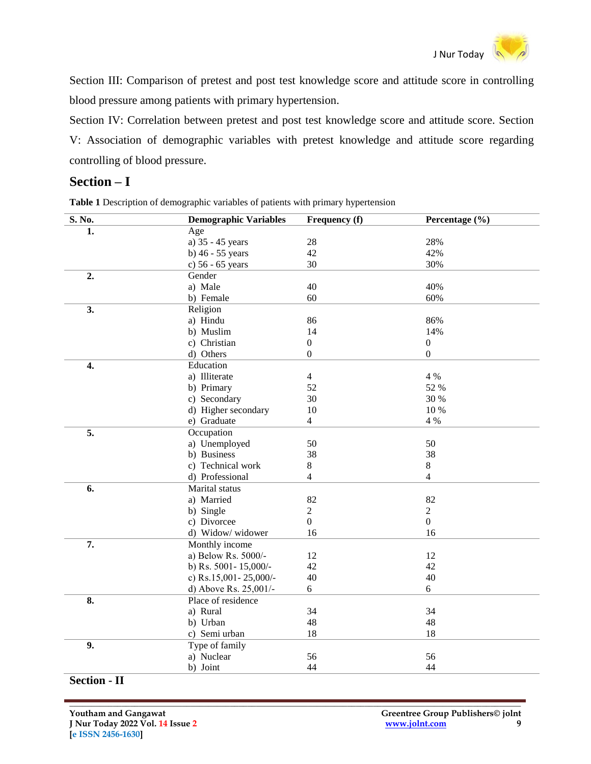

Section III: Comparison of pretest and post test knowledge score and attitude score in controlling blood pressure among patients with primary hypertension.

Section IV: Correlation between pretest and post test knowledge score and attitude score. Section V: Association of demographic variables with pretest knowledge and attitude score regarding controlling of blood pressure.

### **Section – I**

**Table 1** Description of demographic variables of patients with primary hypertension

| S. No.           | <b>Demographic Variables</b> | Frequency (f)    | Percentage (%)   |
|------------------|------------------------------|------------------|------------------|
| 1.               | Age                          |                  |                  |
|                  | a) 35 - 45 years             | 28               | 28%              |
|                  | b) $46 - 55$ years           | 42               | 42%              |
|                  | c) 56 - 65 years             | 30               | 30%              |
| $\overline{2}$ . | Gender                       |                  |                  |
|                  | a) Male                      | 40               | 40%              |
|                  | b) Female                    | 60               | 60%              |
| 3.               | Religion                     |                  |                  |
|                  | a) Hindu                     | 86               | 86%              |
|                  | b) Muslim                    | 14               | 14%              |
|                  | c) Christian                 | $\boldsymbol{0}$ | $\boldsymbol{0}$ |
|                  | d) Others                    | $\boldsymbol{0}$ | $\boldsymbol{0}$ |
| 4.               | Education                    |                  |                  |
|                  | a) Illiterate                | $\overline{4}$   | 4 %              |
|                  | b) Primary                   | 52               | 52 %             |
|                  | c) Secondary                 | 30               | 30 %             |
|                  | d) Higher secondary          | 10               | 10 %             |
|                  | e) Graduate                  | $\overline{4}$   | 4 %              |
| $\overline{5}$ . | Occupation                   |                  |                  |
|                  | a) Unemployed                | 50               | 50               |
|                  | b) Business                  | 38               | 38               |
|                  | c) Technical work            | $8\,$            | $8\,$            |
|                  | d) Professional              | $\overline{4}$   | $\overline{4}$   |
| 6.               | Marital status               |                  |                  |
|                  | a) Married                   | 82               | 82               |
|                  | b) Single                    | $\overline{2}$   | $\overline{2}$   |
|                  | c) Divorcee                  | $\overline{0}$   | $\overline{0}$   |
|                  | d) Widow/ widower            | 16               | 16               |
| 7.               | Monthly income               |                  |                  |
|                  | a) Below Rs. 5000/-          | 12               | 12               |
|                  | b) Rs. 5001-15,000/-         | 42               | 42               |
|                  | c) Rs.15,001-25,000/-        | 40               | 40               |
|                  | d) Above Rs. 25,001/-        | 6                | 6                |
| 8.               | Place of residence           |                  |                  |
|                  | a) Rural                     | 34               | 34               |
|                  | b) Urban                     | 48               | 48               |
|                  | c) Semi urban                | 18               | 18               |
| 9.               | Type of family               |                  |                  |
|                  | a) Nuclear                   | 56               | 56               |
|                  | b) Joint                     | 44               | 44               |

#### **Section - II**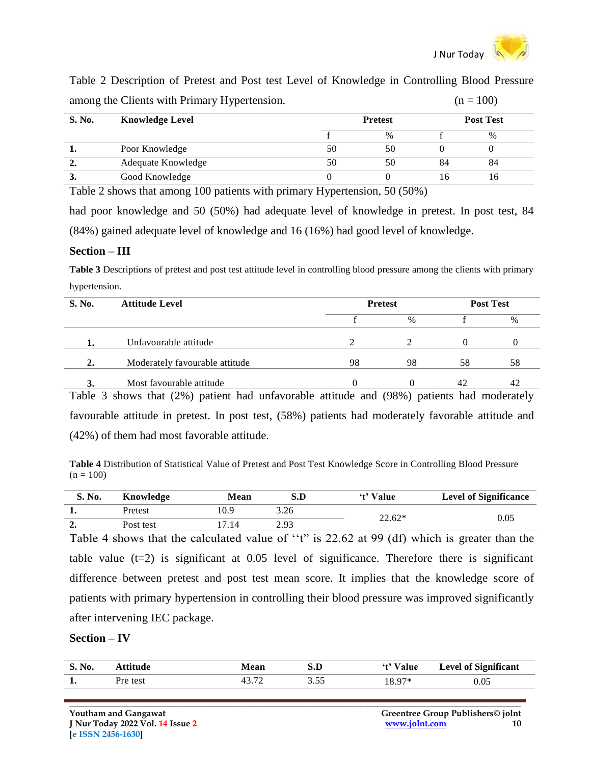

Table 2 Description of Pretest and Post test Level of Knowledge in Controlling Blood Pressure among the Clients with Primary Hypertension.  $(n = 100)$ 

| ~             | . .<br>.               |    |                |     |                  |  |
|---------------|------------------------|----|----------------|-----|------------------|--|
| <b>S. No.</b> | <b>Knowledge Level</b> |    | <b>Pretest</b> |     | <b>Post Test</b> |  |
|               |                        |    | $\%$           |     | $\%$             |  |
| . .           | Poor Knowledge         | 50 | 50             |     |                  |  |
| ∍<br>∸.       | Adequate Knowledge     | 50 | 50             | 84  | 84               |  |
|               | Good Knowledge         |    |                | l h | I N              |  |

Table 2 shows that among 100 patients with primary Hypertension, 50 (50%)

had poor knowledge and 50 (50%) had adequate level of knowledge in pretest. In post test, 84 (84%) gained adequate level of knowledge and 16 (16%) had good level of knowledge.

#### **Section – III**

**Table 3** Descriptions of pretest and post test attitude level in controlling blood pressure among the clients with primary hypertension.

| <b>S. No.</b> | <b>Attitude Level</b>          | <b>Pretest</b> |               | <b>Post Test</b> |      |
|---------------|--------------------------------|----------------|---------------|------------------|------|
|               |                                |                | $\frac{0}{0}$ |                  | $\%$ |
|               | Unfavourable attitude          |                |               |                  |      |
| 2.            | Moderately favourable attitude | 98             | 98            | 58               | 58   |
| $\cdot$       | Most favourable attitude       | $^{(1)}$       |               | 42               |      |

Table 3 shows that (2%) patient had unfavorable attitude and (98%) patients had moderately favourable attitude in pretest. In post test, (58%) patients had moderately favorable attitude and (42%) of them had most favorable attitude.

**Table 4** Distribution of Statistical Value of Pretest and Post Test Knowledge Score in Controlling Blood Pressure  $(n = 100)$ 

| S. No.   | Knowledge | Mean | S.D  | 't' Value | <b>Level of Significance</b> |
|----------|-----------|------|------|-----------|------------------------------|
| д.       | Pretest   | 10.9 | 3.26 | $22.62*$  | 0.05                         |
| ◠<br>ہ ک | Post test | .14  | 2.93 |           |                              |

Table 4 shows that the calculated value of "t" is 22.62 at 99 (df) which is greater than the table value  $(t=2)$  is significant at 0.05 level of significance. Therefore there is significant difference between pretest and post test mean score. It implies that the knowledge score of patients with primary hypertension in controlling their blood pressure was improved significantly after intervening IEC package.

#### **Section – IV**

| S. No. |          | Mean  | S.D  | Value  | <b>Level of Significant</b> |
|--------|----------|-------|------|--------|-----------------------------|
| 1.     | Pre test | 12.72 | 3.55 | 18 Q7* | 0.05                        |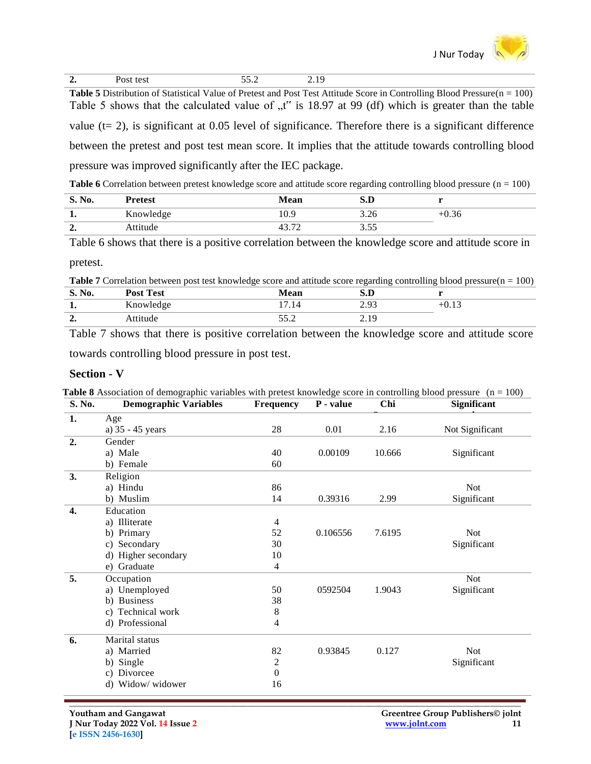

**Table 5** Distribution of Statistical Value of Pretest and Post Test Attitude Score in Controlling Blood Pressure( $n = 100$ ) Table 5 shows that the calculated value of  $\mu$ <sup>\*</sup> is 18.97 at 99 (df) which is greater than the table value ( $t= 2$ ), is significant at 0.05 level of significance. Therefore there is a significant difference between the pretest and post test mean score. It implies that the attitude towards controlling blood pressure was improved significantly after the IEC package.

**Table 6** Correlation between pretest knowledge score and attitude score regarding controlling blood pressure ( $n = 100$ )

| S. N <sub>0</sub><br>NO. | Pretest   | Mean                           | D<br>U       |      |
|--------------------------|-----------|--------------------------------|--------------|------|
| ı.                       | Knowledge | 0.9                            | 3 ገ6<br>J.∠∪ | U.30 |
| $\rightarrow$<br>ہ ہے    | Attitude  | $\overline{\phantom{a}}$<br>⊶. | $ -$<br>J.JJ |      |

Table 6 shows that there is a positive correlation between the knowledge score and attitude score in

pretest.

Table 7 Correlation between post test knowledge score and attitude score regarding controlling blood pressure(n = 100)

| d.                             | <b>Post Test</b> | Mean     | J.D               |  |
|--------------------------------|------------------|----------|-------------------|--|
| . .                            | YZ.<br>Knowledge | -<br>.14 | $\Omega$<br>ل ر.پ |  |
| $\overline{\phantom{a}}$<br>∸. | Attitude         | JJ.L     | ۱Ω<br><u></u>     |  |

Table 7 shows that there is positive correlation between the knowledge score and attitude score towards controlling blood pressure in post test.

#### **Section - V**

| S. No.           | <b>Demographic Variables</b> | <b>Frequency</b> | P - value | Chi    | Significant     |
|------------------|------------------------------|------------------|-----------|--------|-----------------|
| 1.               | Age                          |                  |           |        |                 |
|                  | a) 35 - 45 years             | 28               | 0.01      | 2.16   | Not Significant |
| 2.               | Gender                       |                  |           |        |                 |
|                  | a) Male                      | 40               | 0.00109   | 10.666 | Significant     |
|                  | b) Female                    | 60               |           |        |                 |
| 3.               | Religion                     |                  |           |        |                 |
|                  | a) Hindu                     | 86               |           |        | <b>Not</b>      |
|                  | b) Muslim                    | 14               | 0.39316   | 2.99   | Significant     |
| $\overline{4}$ . | Education                    |                  |           |        |                 |
|                  | a) Illiterate                | $\overline{4}$   |           |        |                 |
|                  | b) Primary                   | 52               | 0.106556  | 7.6195 | <b>Not</b>      |
|                  | c) Secondary                 | 30               |           |        | Significant     |
|                  | d) Higher secondary          | 10               |           |        |                 |
|                  | e) Graduate                  | 4                |           |        |                 |
| 5.               | Occupation                   |                  |           |        | <b>Not</b>      |
|                  | a) Unemployed                | 50               | 0592504   | 1.9043 | Significant     |
|                  | b) Business                  | 38               |           |        |                 |
|                  | c) Technical work            | 8                |           |        |                 |
|                  | d) Professional              | 4                |           |        |                 |
| 6.               | Marital status               |                  |           |        |                 |
|                  | a) Married                   | 82               | 0.93845   | 0.127  | <b>Not</b>      |
|                  | b) Single                    | $\sqrt{2}$       |           |        | Significant     |
|                  | c) Divorcee                  | $\boldsymbol{0}$ |           |        |                 |
|                  | d) Widow/ widower            | 16               |           |        |                 |

**Table 8** Association of demographic variables with pretest knowledge score in controlling blood pressure  $(n = 100)$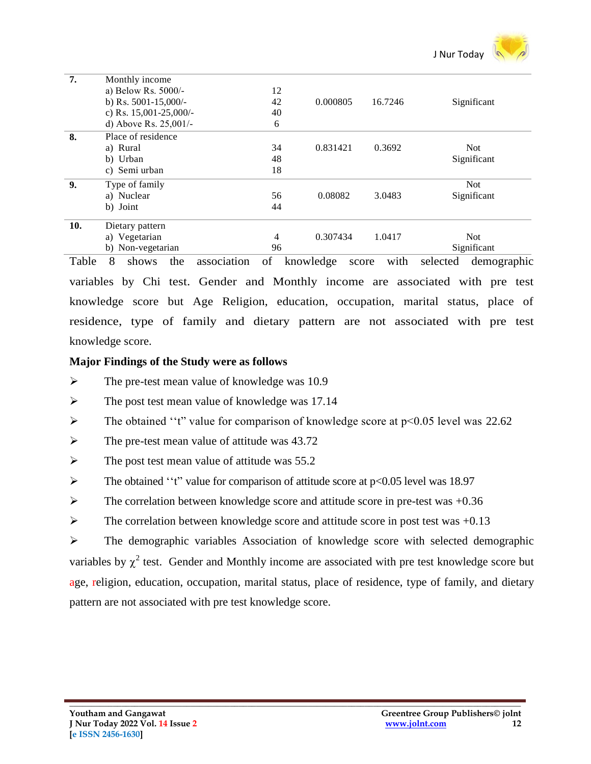

| 7.  | Monthly income           |                |          |         |             |
|-----|--------------------------|----------------|----------|---------|-------------|
|     | a) Below Rs. $5000/-$    | 12             |          |         |             |
|     | b) Rs. 5001-15,000/-     | 42             | 0.000805 | 16.7246 | Significant |
|     | c) Rs. $15,001-25,000/-$ | 40             |          |         |             |
|     | d) Above Rs. $25,001/-$  | 6              |          |         |             |
| 8.  | Place of residence       |                |          |         |             |
|     | a) Rural                 | 34             | 0.831421 | 0.3692  | <b>Not</b>  |
|     | b) Urban                 | 48             |          |         | Significant |
|     | c) Semi urban            | 18             |          |         |             |
| 9.  | Type of family           |                |          |         | <b>Not</b>  |
|     | a) Nuclear               | 56             | 0.08082  | 3.0483  | Significant |
|     | b) Joint                 | 44             |          |         |             |
| 10. | Dietary pattern          |                |          |         |             |
|     | a) Vegetarian            | $\overline{4}$ | 0.307434 | 1.0417  | <b>Not</b>  |
|     | b) Non-vegetarian        | 96             |          |         | Significant |

Table 8 shows the association of knowledge score with selected demographic variables by Chi test. Gender and Monthly income are associated with pre test knowledge score but Age Religion, education, occupation, marital status, place of residence, type of family and dietary pattern are not associated with pre test knowledge score.

#### **Major Findings of the Study were as follows**

- $\triangleright$  The pre-test mean value of knowledge was 10.9
- $\triangleright$  The post test mean value of knowledge was 17.14
- $\triangleright$  The obtained "t" value for comparison of knowledge score at p<0.05 level was 22.62
- $\triangleright$  The pre-test mean value of attitude was 43.72
- $\triangleright$  The post test mean value of attitude was 55.2
- $\triangleright$  The obtained "t" value for comparison of attitude score at p<0.05 level was 18.97
- $\triangleright$  The correlation between knowledge score and attitude score in pre-test was +0.36
- $\triangleright$  The correlation between knowledge score and attitude score in post test was +0.13

 The demographic variables Association of knowledge score with selected demographic variables by  $\chi^2$  test. Gender and Monthly income are associated with pre test knowledge score but age, religion, education, occupation, marital status, place of residence, type of family, and dietary pattern are not associated with pre test knowledge score.